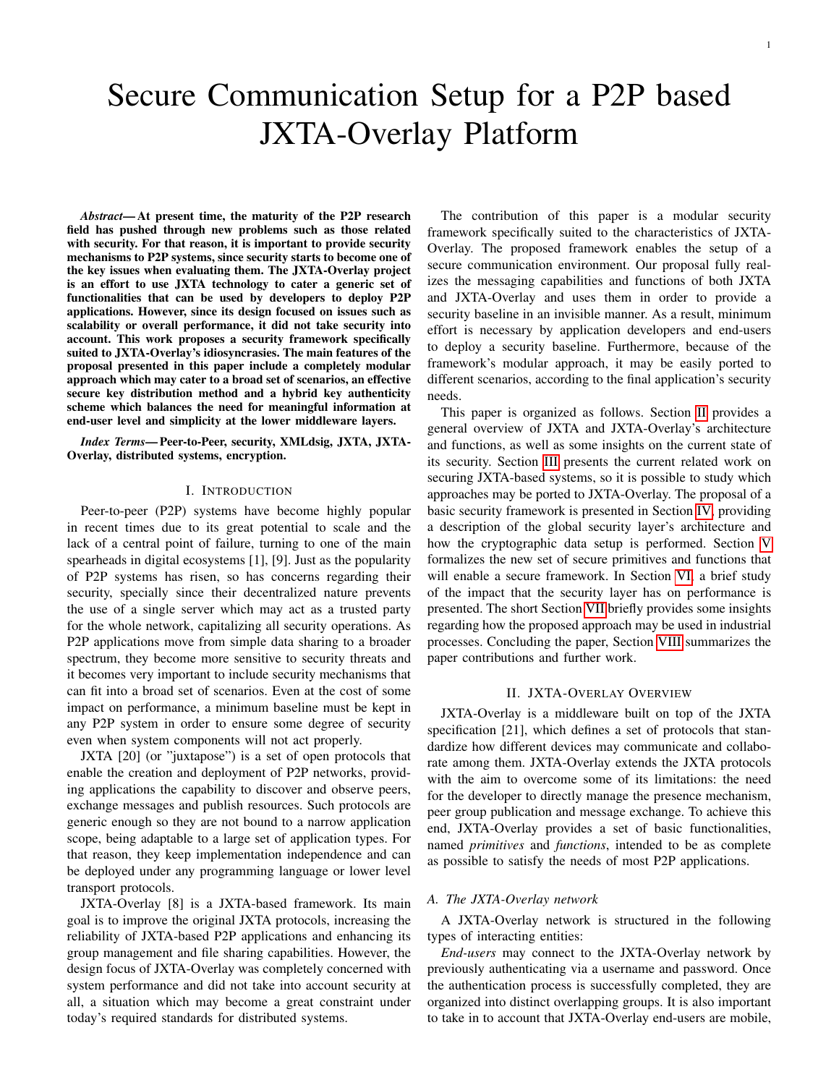# Secure Communication Setup for a P2P based JXTA-Overlay Platform

*Abstract*— At present time, the maturity of the P2P research field has pushed through new problems such as those related with security. For that reason, it is important to provide security mechanisms to P2P systems, since security starts to become one of the key issues when evaluating them. The JXTA-Overlay project is an effort to use JXTA technology to cater a generic set of functionalities that can be used by developers to deploy P2P applications. However, since its design focused on issues such as scalability or overall performance, it did not take security into account. This work proposes a security framework specifically suited to JXTA-Overlay's idiosyncrasies. The main features of the proposal presented in this paper include a completely modular approach which may cater to a broad set of scenarios, an effective secure key distribution method and a hybrid key authenticity scheme which balances the need for meaningful information at end-user level and simplicity at the lower middleware layers.

*Index Terms*— Peer-to-Peer, security, XMLdsig, JXTA, JXTA-Overlay, distributed systems, encryption.

#### I. INTRODUCTION

Peer-to-peer (P2P) systems have become highly popular in recent times due to its great potential to scale and the lack of a central point of failure, turning to one of the main spearheads in digital ecosystems [1], [9]. Just as the popularity of P2P systems has risen, so has concerns regarding their security, specially since their decentralized nature prevents the use of a single server which may act as a trusted party for the whole network, capitalizing all security operations. As P2P applications move from simple data sharing to a broader spectrum, they become more sensitive to security threats and it becomes very important to include security mechanisms that can fit into a broad set of scenarios. Even at the cost of some impact on performance, a minimum baseline must be kept in any P2P system in order to ensure some degree of security even when system components will not act properly.

JXTA [20] (or "juxtapose") is a set of open protocols that enable the creation and deployment of P2P networks, providing applications the capability to discover and observe peers, exchange messages and publish resources. Such protocols are generic enough so they are not bound to a narrow application scope, being adaptable to a large set of application types. For that reason, they keep implementation independence and can be deployed under any programming language or lower level transport protocols.

JXTA-Overlay [8] is a JXTA-based framework. Its main goal is to improve the original JXTA protocols, increasing the reliability of JXTA-based P2P applications and enhancing its group management and file sharing capabilities. However, the design focus of JXTA-Overlay was completely concerned with system performance and did not take into account security at all, a situation which may become a great constraint under today's required standards for distributed systems.

The contribution of this paper is a modular security framework specifically suited to the characteristics of JXTA-Overlay. The proposed framework enables the setup of a secure communication environment. Our proposal fully realizes the messaging capabilities and functions of both JXTA and JXTA-Overlay and uses them in order to provide a security baseline in an invisible manner. As a result, minimum effort is necessary by application developers and end-users to deploy a security baseline. Furthermore, because of the framework's modular approach, it may be easily ported to different scenarios, according to the final application's security needs.

This paper is organized as follows. Section [II](#page-0-0) provides a general overview of JXTA and JXTA-Overlay's architecture and functions, as well as some insights on the current state of its security. Section [III](#page-2-0) presents the current related work on securing JXTA-based systems, so it is possible to study which approaches may be ported to JXTA-Overlay. The proposal of a basic security framework is presented in Section [IV,](#page-2-1) providing a description of the global security layer's architecture and how the cryptographic data setup is performed. Section [V](#page-5-0) formalizes the new set of secure primitives and functions that will enable a secure framework. In Section [VI,](#page-7-0) a brief study of the impact that the security layer has on performance is presented. The short Section [VII](#page-8-0) briefly provides some insights regarding how the proposed approach may be used in industrial processes. Concluding the paper, Section [VIII](#page-8-1) summarizes the paper contributions and further work.

# II. JXTA-OVERLAY OVERVIEW

<span id="page-0-0"></span>JXTA-Overlay is a middleware built on top of the JXTA specification [21], which defines a set of protocols that standardize how different devices may communicate and collaborate among them. JXTA-Overlay extends the JXTA protocols with the aim to overcome some of its limitations: the need for the developer to directly manage the presence mechanism, peer group publication and message exchange. To achieve this end, JXTA-Overlay provides a set of basic functionalities, named *primitives* and *functions*, intended to be as complete as possible to satisfy the needs of most P2P applications.

#### <span id="page-0-1"></span>*A. The JXTA-Overlay network*

A JXTA-Overlay network is structured in the following types of interacting entities:

*End-users* may connect to the JXTA-Overlay network by previously authenticating via a username and password. Once the authentication process is successfully completed, they are organized into distinct overlapping groups. It is also important to take in to account that JXTA-Overlay end-users are mobile,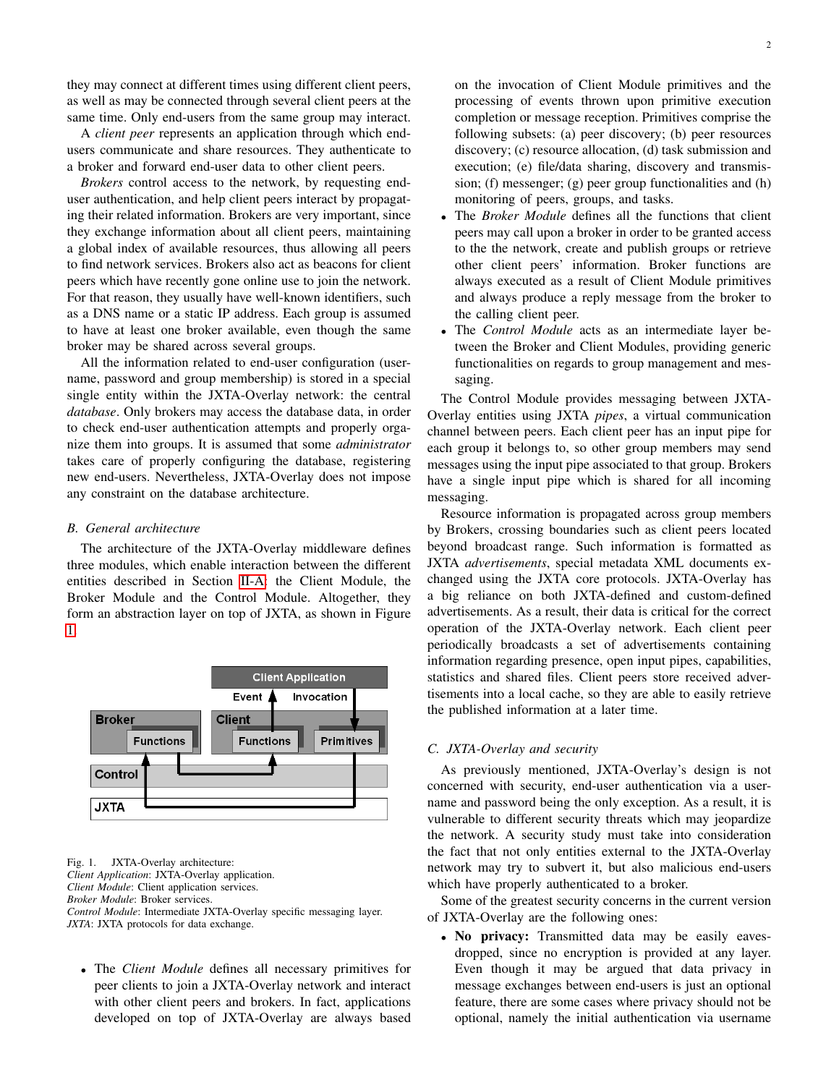they may connect at different times using different client peers, as well as may be connected through several client peers at the same time. Only end-users from the same group may interact.

A *client peer* represents an application through which endusers communicate and share resources. They authenticate to a broker and forward end-user data to other client peers.

*Brokers* control access to the network, by requesting enduser authentication, and help client peers interact by propagating their related information. Brokers are very important, since they exchange information about all client peers, maintaining a global index of available resources, thus allowing all peers to find network services. Brokers also act as beacons for client peers which have recently gone online use to join the network. For that reason, they usually have well-known identifiers, such as a DNS name or a static IP address. Each group is assumed to have at least one broker available, even though the same broker may be shared across several groups.

All the information related to end-user configuration (username, password and group membership) is stored in a special single entity within the JXTA-Overlay network: the central *database*. Only brokers may access the database data, in order to check end-user authentication attempts and properly organize them into groups. It is assumed that some *administrator* takes care of properly configuring the database, registering new end-users. Nevertheless, JXTA-Overlay does not impose any constraint on the database architecture.

## <span id="page-1-2"></span>*B. General architecture*

The architecture of the JXTA-Overlay middleware defines three modules, which enable interaction between the different entities described in Section [II-A:](#page-0-1) the Client Module, the Broker Module and the Control Module. Altogether, they form an abstraction layer on top of JXTA, as shown in Figure [1.](#page-1-0)



<span id="page-1-0"></span>Fig. 1. JXTA-Overlay architecture: *Client Application*: JXTA-Overlay application. *Client Module*: Client application services. *Broker Module*: Broker services. *Control Module*: Intermediate JXTA-Overlay specific messaging layer. *JXTA*: JXTA protocols for data exchange.

• The *Client Module* defines all necessary primitives for peer clients to join a JXTA-Overlay network and interact with other client peers and brokers. In fact, applications developed on top of JXTA-Overlay are always based

on the invocation of Client Module primitives and the processing of events thrown upon primitive execution completion or message reception. Primitives comprise the following subsets: (a) peer discovery; (b) peer resources discovery; (c) resource allocation, (d) task submission and execution; (e) file/data sharing, discovery and transmission; (f) messenger; (g) peer group functionalities and (h) monitoring of peers, groups, and tasks.

- The *Broker Module* defines all the functions that client peers may call upon a broker in order to be granted access to the the network, create and publish groups or retrieve other client peers' information. Broker functions are always executed as a result of Client Module primitives and always produce a reply message from the broker to the calling client peer.
- The *Control Module* acts as an intermediate layer between the Broker and Client Modules, providing generic functionalities on regards to group management and messaging.

The Control Module provides messaging between JXTA-Overlay entities using JXTA *pipes*, a virtual communication channel between peers. Each client peer has an input pipe for each group it belongs to, so other group members may send messages using the input pipe associated to that group. Brokers have a single input pipe which is shared for all incoming messaging.

Resource information is propagated across group members by Brokers, crossing boundaries such as client peers located beyond broadcast range. Such information is formatted as JXTA *advertisements*, special metadata XML documents exchanged using the JXTA core protocols. JXTA-Overlay has a big reliance on both JXTA-defined and custom-defined advertisements. As a result, their data is critical for the correct operation of the JXTA-Overlay network. Each client peer periodically broadcasts a set of advertisements containing information regarding presence, open input pipes, capabilities, statistics and shared files. Client peers store received advertisements into a local cache, so they are able to easily retrieve the published information at a later time.

# <span id="page-1-1"></span>*C. JXTA-Overlay and security*

As previously mentioned, JXTA-Overlay's design is not concerned with security, end-user authentication via a username and password being the only exception. As a result, it is vulnerable to different security threats which may jeopardize the network. A security study must take into consideration the fact that not only entities external to the JXTA-Overlay network may try to subvert it, but also malicious end-users which have properly authenticated to a broker.

Some of the greatest security concerns in the current version of JXTA-Overlay are the following ones:

• No privacy: Transmitted data may be easily eavesdropped, since no encryption is provided at any layer. Even though it may be argued that data privacy in message exchanges between end-users is just an optional feature, there are some cases where privacy should not be optional, namely the initial authentication via username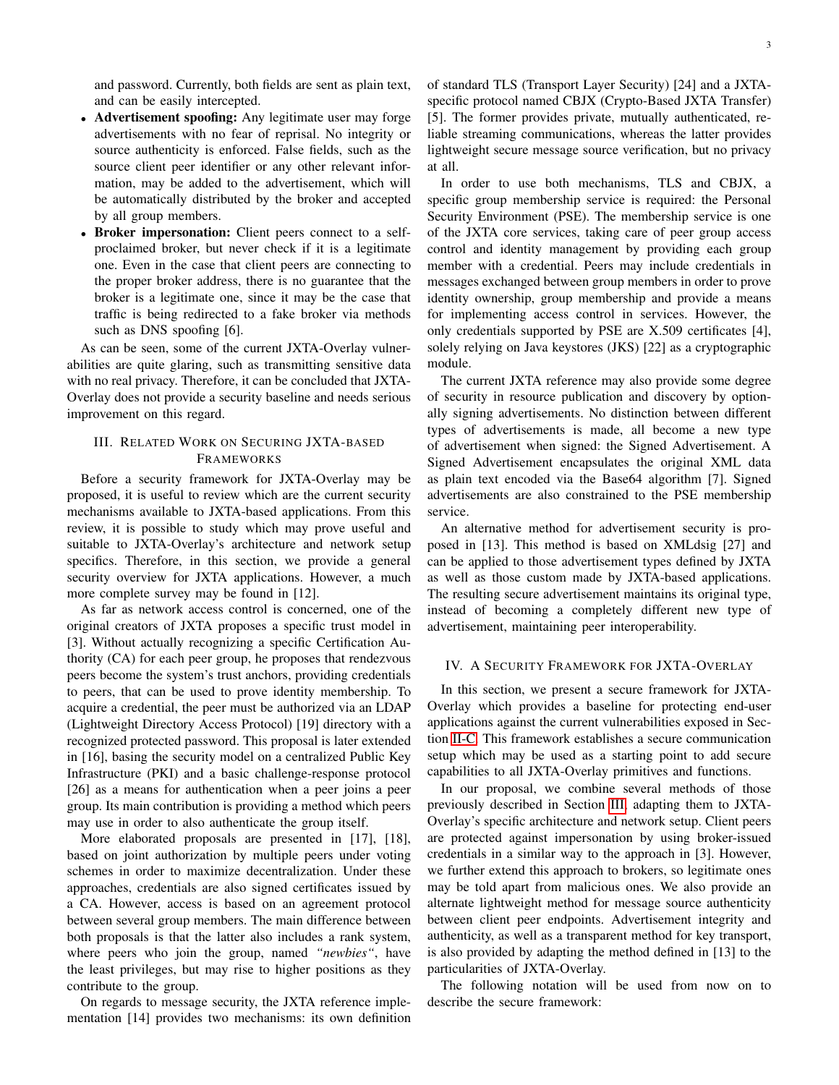and password. Currently, both fields are sent as plain text, and can be easily intercepted.

- Advertisement spoofing: Any legitimate user may forge advertisements with no fear of reprisal. No integrity or source authenticity is enforced. False fields, such as the source client peer identifier or any other relevant information, may be added to the advertisement, which will be automatically distributed by the broker and accepted by all group members.
- Broker impersonation: Client peers connect to a selfproclaimed broker, but never check if it is a legitimate one. Even in the case that client peers are connecting to the proper broker address, there is no guarantee that the broker is a legitimate one, since it may be the case that traffic is being redirected to a fake broker via methods such as DNS spoofing [6].

As can be seen, some of the current JXTA-Overlay vulnerabilities are quite glaring, such as transmitting sensitive data with no real privacy. Therefore, it can be concluded that JXTA-Overlay does not provide a security baseline and needs serious improvement on this regard.

# <span id="page-2-0"></span>III. RELATED WORK ON SECURING JXTA-BASED FRAMEWORKS

Before a security framework for JXTA-Overlay may be proposed, it is useful to review which are the current security mechanisms available to JXTA-based applications. From this review, it is possible to study which may prove useful and suitable to JXTA-Overlay's architecture and network setup specifics. Therefore, in this section, we provide a general security overview for JXTA applications. However, a much more complete survey may be found in [12].

As far as network access control is concerned, one of the original creators of JXTA proposes a specific trust model in [3]. Without actually recognizing a specific Certification Authority (CA) for each peer group, he proposes that rendezvous peers become the system's trust anchors, providing credentials to peers, that can be used to prove identity membership. To acquire a credential, the peer must be authorized via an LDAP (Lightweight Directory Access Protocol) [19] directory with a recognized protected password. This proposal is later extended in [16], basing the security model on a centralized Public Key Infrastructure (PKI) and a basic challenge-response protocol [26] as a means for authentication when a peer joins a peer group. Its main contribution is providing a method which peers may use in order to also authenticate the group itself.

More elaborated proposals are presented in [17], [18], based on joint authorization by multiple peers under voting schemes in order to maximize decentralization. Under these approaches, credentials are also signed certificates issued by a CA. However, access is based on an agreement protocol between several group members. The main difference between both proposals is that the latter also includes a rank system, where peers who join the group, named *"newbies"*, have the least privileges, but may rise to higher positions as they contribute to the group.

On regards to message security, the JXTA reference implementation [14] provides two mechanisms: its own definition of standard TLS (Transport Layer Security) [24] and a JXTAspecific protocol named CBJX (Crypto-Based JXTA Transfer) [5]. The former provides private, mutually authenticated, reliable streaming communications, whereas the latter provides lightweight secure message source verification, but no privacy at all.

In order to use both mechanisms, TLS and CBJX, a specific group membership service is required: the Personal Security Environment (PSE). The membership service is one of the JXTA core services, taking care of peer group access control and identity management by providing each group member with a credential. Peers may include credentials in messages exchanged between group members in order to prove identity ownership, group membership and provide a means for implementing access control in services. However, the only credentials supported by PSE are X.509 certificates [4], solely relying on Java keystores (JKS) [22] as a cryptographic module.

The current JXTA reference may also provide some degree of security in resource publication and discovery by optionally signing advertisements. No distinction between different types of advertisements is made, all become a new type of advertisement when signed: the Signed Advertisement. A Signed Advertisement encapsulates the original XML data as plain text encoded via the Base64 algorithm [7]. Signed advertisements are also constrained to the PSE membership service.

An alternative method for advertisement security is proposed in [13]. This method is based on XMLdsig [27] and can be applied to those advertisement types defined by JXTA as well as those custom made by JXTA-based applications. The resulting secure advertisement maintains its original type, instead of becoming a completely different new type of advertisement, maintaining peer interoperability.

## <span id="page-2-1"></span>IV. A SECURITY FRAMEWORK FOR JXTA-OVERLAY

In this section, we present a secure framework for JXTA-Overlay which provides a baseline for protecting end-user applications against the current vulnerabilities exposed in Section [II-C.](#page-1-1) This framework establishes a secure communication setup which may be used as a starting point to add secure capabilities to all JXTA-Overlay primitives and functions.

In our proposal, we combine several methods of those previously described in Section [III,](#page-2-0) adapting them to JXTA-Overlay's specific architecture and network setup. Client peers are protected against impersonation by using broker-issued credentials in a similar way to the approach in [3]. However, we further extend this approach to brokers, so legitimate ones may be told apart from malicious ones. We also provide an alternate lightweight method for message source authenticity between client peer endpoints. Advertisement integrity and authenticity, as well as a transparent method for key transport, is also provided by adapting the method defined in [13] to the particularities of JXTA-Overlay.

The following notation will be used from now on to describe the secure framework: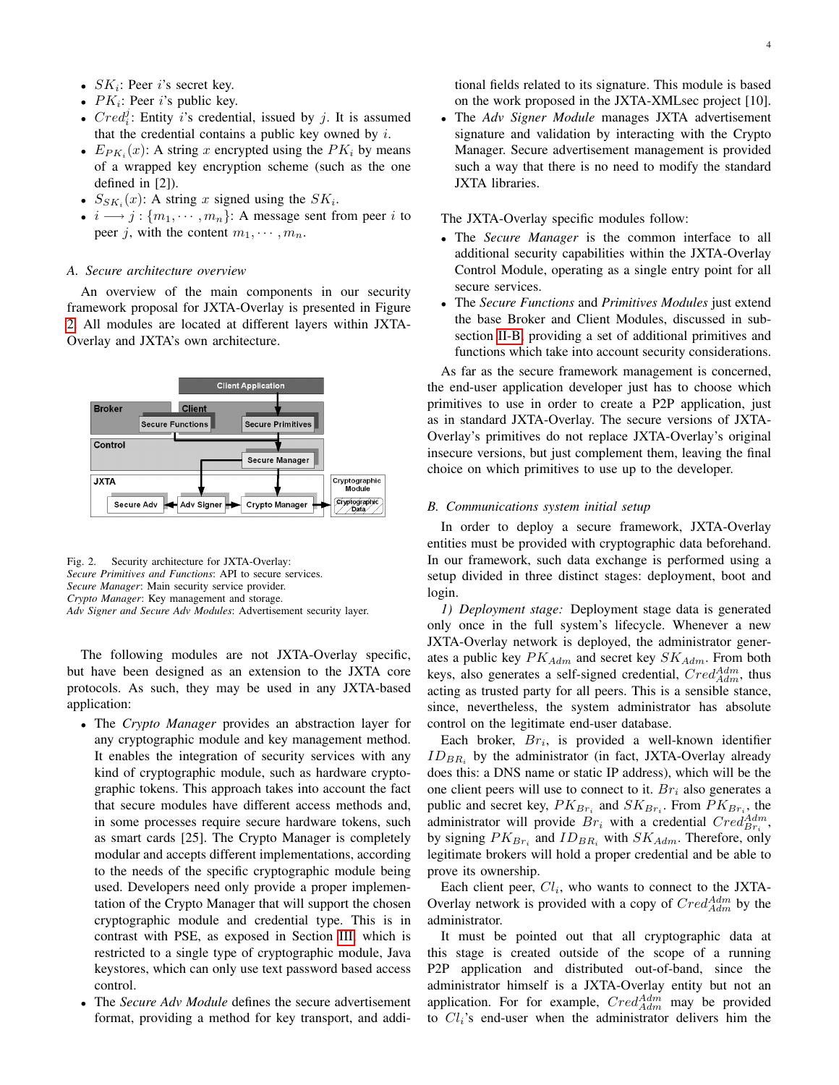- $SK_i$ : Peer i's secret key.
- $PK_i$ : Peer *i*'s public key.
- $Cred_i^j$ : Entity i's credential, issued by j. It is assumed that the credential contains a public key owned by  $i$ .
- $E_{PK_i}(x)$ : A string x encrypted using the  $PK_i$  by means of a wrapped key encryption scheme (such as the one defined in [2]).
- $S_{SK_i}(x)$ : A string x signed using the  $SK_i$ .
- $i \longrightarrow j : \{m_1, \dots, m_n\}$ : A message sent from peer i to peer j, with the content  $m_1, \dots, m_n$ .

## *A. Secure architecture overview*

An overview of the main components in our security framework proposal for JXTA-Overlay is presented in Figure [2.](#page-3-0) All modules are located at different layers within JXTA-Overlay and JXTA's own architecture.



<span id="page-3-0"></span>Fig. 2. Security architecture for JXTA-Overlay: *Secure Primitives and Functions*: API to secure services. *Secure Manager*: Main security service provider. *Crypto Manager*: Key management and storage. *Adv Signer and Secure Adv Modules*: Advertisement security layer.

The following modules are not JXTA-Overlay specific, but have been designed as an extension to the JXTA core protocols. As such, they may be used in any JXTA-based application:

- The *Crypto Manager* provides an abstraction layer for any cryptographic module and key management method. It enables the integration of security services with any kind of cryptographic module, such as hardware cryptographic tokens. This approach takes into account the fact that secure modules have different access methods and, in some processes require secure hardware tokens, such as smart cards [25]. The Crypto Manager is completely modular and accepts different implementations, according to the needs of the specific cryptographic module being used. Developers need only provide a proper implementation of the Crypto Manager that will support the chosen cryptographic module and credential type. This is in contrast with PSE, as exposed in Section [III,](#page-2-0) which is restricted to a single type of cryptographic module, Java keystores, which can only use text password based access control.
- The *Secure Adv Module* defines the secure advertisement format, providing a method for key transport, and addi-

tional fields related to its signature. This module is based on the work proposed in the JXTA-XMLsec project [10].

• The *Adv Signer Module* manages JXTA advertisement signature and validation by interacting with the Crypto Manager. Secure advertisement management is provided such a way that there is no need to modify the standard JXTA libraries.

## The JXTA-Overlay specific modules follow:

- The *Secure Manager* is the common interface to all additional security capabilities within the JXTA-Overlay Control Module, operating as a single entry point for all secure services.
- The *Secure Functions* and *Primitives Modules* just extend the base Broker and Client Modules, discussed in subsection [II-B,](#page-1-2) providing a set of additional primitives and functions which take into account security considerations.

As far as the secure framework management is concerned, the end-user application developer just has to choose which primitives to use in order to create a P2P application, just as in standard JXTA-Overlay. The secure versions of JXTA-Overlay's primitives do not replace JXTA-Overlay's original insecure versions, but just complement them, leaving the final choice on which primitives to use up to the developer.

## <span id="page-3-1"></span>*B. Communications system initial setup*

In order to deploy a secure framework, JXTA-Overlay entities must be provided with cryptographic data beforehand. In our framework, such data exchange is performed using a setup divided in three distinct stages: deployment, boot and login.

*1) Deployment stage:* Deployment stage data is generated only once in the full system's lifecycle. Whenever a new JXTA-Overlay network is deployed, the administrator generates a public key  $PK_{Adm}$  and secret key  $SK_{Adm}$ . From both keys, also generates a self-signed credential,  $Cred^{Adm}_{Adm}$ , thus acting as trusted party for all peers. This is a sensible stance, since, nevertheless, the system administrator has absolute control on the legitimate end-user database.

Each broker,  $Br_i$ , is provided a well-known identifier  $ID_{BR_i}$  by the administrator (in fact, JXTA-Overlay already does this: a DNS name or static IP address), which will be the one client peers will use to connect to it.  $Br_i$  also generates a public and secret key,  $PK_{Br_i}$  and  $SK_{Br_i}$ . From  $PK_{Br_i}$ , the administrator will provide  $Br_i$  with a credential  $Cred_{Br_i}^{Adm}$ , by signing  $PK_{Br_i}$  and  $ID_{BR_i}$  with  $SK_{Adm}$ . Therefore, only legitimate brokers will hold a proper credential and be able to prove its ownership.

Each client peer,  $Cl_i$ , who wants to connect to the JXTA-Overlay network is provided with a copy of  $Cred^{Adm}_{Adm}$  by the administrator.

It must be pointed out that all cryptographic data at this stage is created outside of the scope of a running P2P application and distributed out-of-band, since the administrator himself is a JXTA-Overlay entity but not an application. For for example,  $Cred^{Adm}_{Adm}$  may be provided to  $Cl_i$ 's end-user when the administrator delivers him the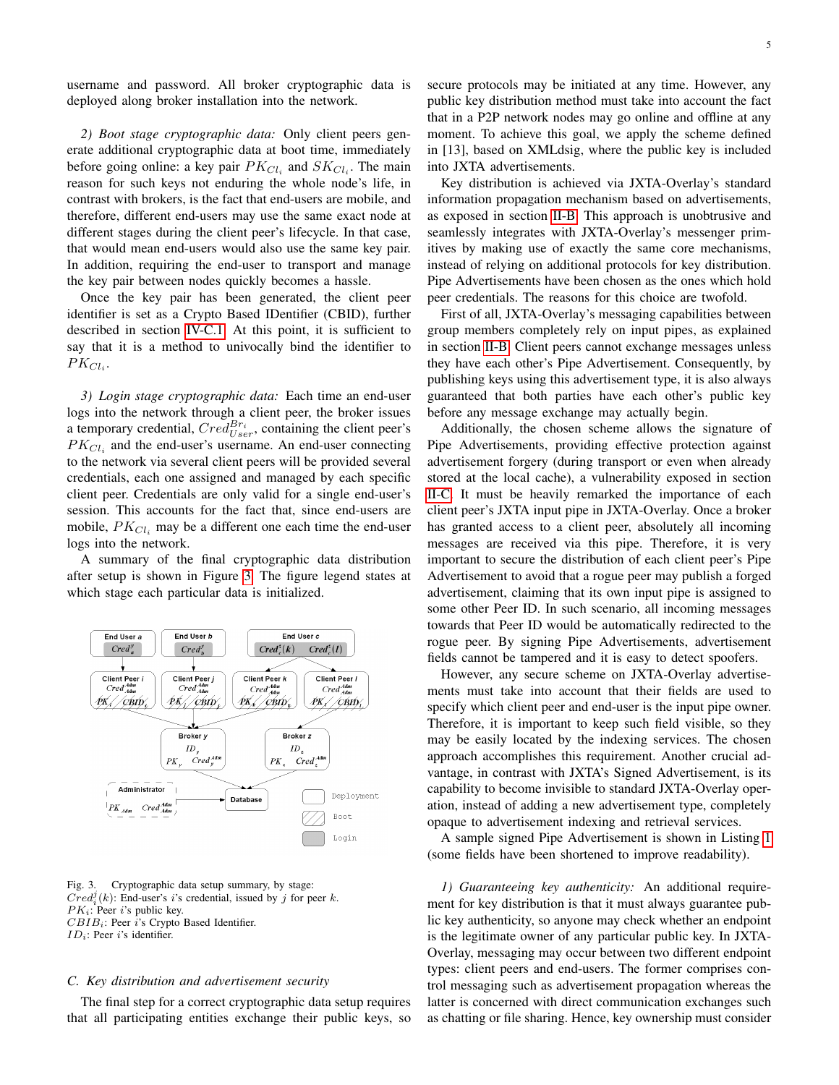username and password. All broker cryptographic data is deployed along broker installation into the network.

*2) Boot stage cryptographic data:* Only client peers generate additional cryptographic data at boot time, immediately before going online: a key pair  $PK_{Cl_i}$  and  $SK_{Cl_i}$ . The main reason for such keys not enduring the whole node's life, in contrast with brokers, is the fact that end-users are mobile, and therefore, different end-users may use the same exact node at different stages during the client peer's lifecycle. In that case, that would mean end-users would also use the same key pair. In addition, requiring the end-user to transport and manage the key pair between nodes quickly becomes a hassle.

Once the key pair has been generated, the client peer identifier is set as a Crypto Based IDentifier (CBID), further described in section [IV-C.1.](#page-4-0) At this point, it is sufficient to say that it is a method to univocally bind the identifier to  $PK_{Cl_i}$ .

*3) Login stage cryptographic data:* Each time an end-user logs into the network through a client peer, the broker issues a temporary credential,  $Cred_{User}^{Br_i}$ , containing the client peer's  $PK_{Cl_i}$  and the end-user's username. An end-user connecting to the network via several client peers will be provided several credentials, each one assigned and managed by each specific client peer. Credentials are only valid for a single end-user's session. This accounts for the fact that, since end-users are mobile,  $PK_{Cl_i}$  may be a different one each time the end-user logs into the network.

A summary of the final cryptographic data distribution after setup is shown in Figure [3.](#page-4-1) The figure legend states at which stage each particular data is initialized.



<span id="page-4-1"></span>Fig. 3. Cryptographic data setup summary, by stage:  $Cred_i^j(k)$ : End-user's i's credential, issued by j for peer k.  $PK_i$ : Peer i's public key.  $CBIB_i$ : Peer i's Crypto Based Identifier.  $ID_i$ : Peer i's identifier.

## *C. Key distribution and advertisement security*

The final step for a correct cryptographic data setup requires that all participating entities exchange their public keys, so secure protocols may be initiated at any time. However, any public key distribution method must take into account the fact that in a P2P network nodes may go online and offline at any moment. To achieve this goal, we apply the scheme defined in [13], based on XMLdsig, where the public key is included into JXTA advertisements.

Key distribution is achieved via JXTA-Overlay's standard information propagation mechanism based on advertisements, as exposed in section [II-B.](#page-1-2) This approach is unobtrusive and seamlessly integrates with JXTA-Overlay's messenger primitives by making use of exactly the same core mechanisms, instead of relying on additional protocols for key distribution. Pipe Advertisements have been chosen as the ones which hold peer credentials. The reasons for this choice are twofold.

First of all, JXTA-Overlay's messaging capabilities between group members completely rely on input pipes, as explained in section [II-B.](#page-1-2) Client peers cannot exchange messages unless they have each other's Pipe Advertisement. Consequently, by publishing keys using this advertisement type, it is also always guaranteed that both parties have each other's public key before any message exchange may actually begin.

Additionally, the chosen scheme allows the signature of Pipe Advertisements, providing effective protection against advertisement forgery (during transport or even when already stored at the local cache), a vulnerability exposed in section [II-C.](#page-1-1) It must be heavily remarked the importance of each client peer's JXTA input pipe in JXTA-Overlay. Once a broker has granted access to a client peer, absolutely all incoming messages are received via this pipe. Therefore, it is very important to secure the distribution of each client peer's Pipe Advertisement to avoid that a rogue peer may publish a forged advertisement, claiming that its own input pipe is assigned to some other Peer ID. In such scenario, all incoming messages towards that Peer ID would be automatically redirected to the rogue peer. By signing Pipe Advertisements, advertisement fields cannot be tampered and it is easy to detect spoofers.

However, any secure scheme on JXTA-Overlay advertisements must take into account that their fields are used to specify which client peer and end-user is the input pipe owner. Therefore, it is important to keep such field visible, so they may be easily located by the indexing services. The chosen approach accomplishes this requirement. Another crucial advantage, in contrast with JXTA's Signed Advertisement, is its capability to become invisible to standard JXTA-Overlay operation, instead of adding a new advertisement type, completely opaque to advertisement indexing and retrieval services.

A sample signed Pipe Advertisement is shown in Listing [1](#page-5-1) (some fields have been shortened to improve readability).

<span id="page-4-0"></span>*1) Guaranteeing key authenticity:* An additional requirement for key distribution is that it must always guarantee public key authenticity, so anyone may check whether an endpoint is the legitimate owner of any particular public key. In JXTA-Overlay, messaging may occur between two different endpoint types: client peers and end-users. The former comprises control messaging such as advertisement propagation whereas the latter is concerned with direct communication exchanges such as chatting or file sharing. Hence, key ownership must consider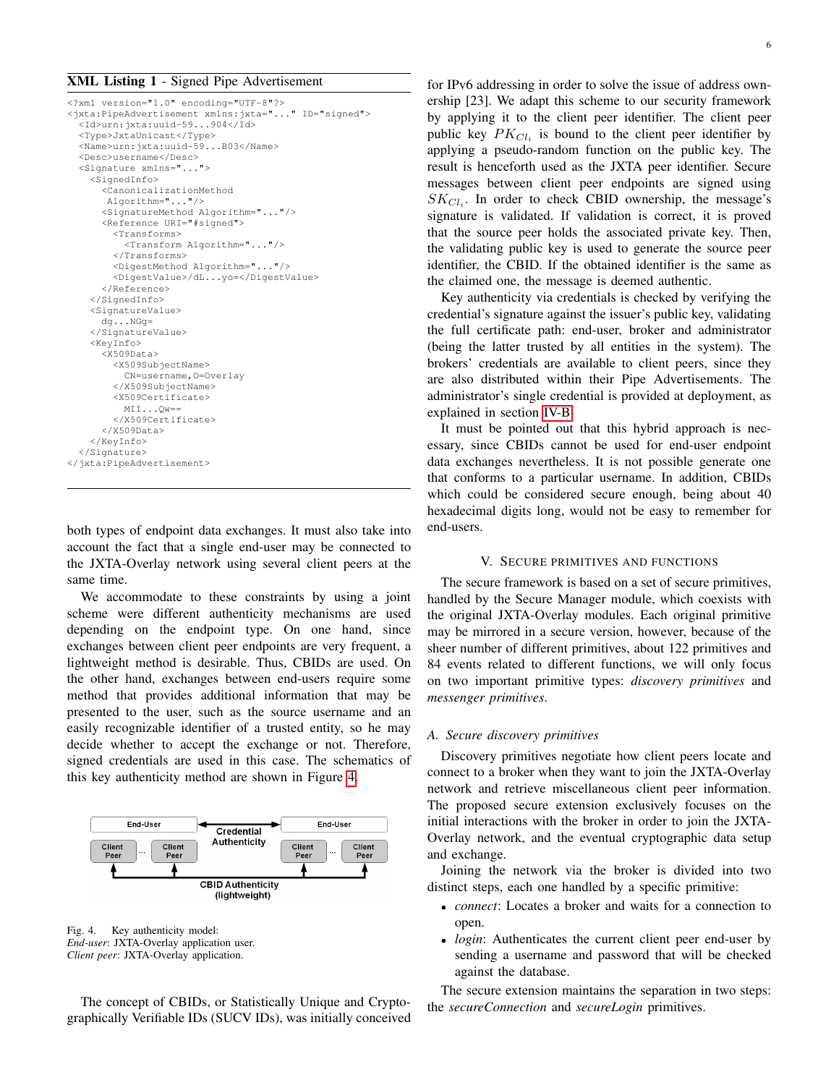#### XML Listing 1 - Signed Pipe Advertisement

```
<?xml version="1.0" encoding="UTF-8"?>
<jxta:PipeAdvertisement xmlns:jxta="..." ID="signed">
  <Id>urn:jxta:uuid-59...904</Id>
  <Type>JxtaUnicast</Type>
  <Name>urn:jxta:uuid-59...B03</Name>
  <Desc>username</Desc>
  <Signature xmlns="...">
    <SignedInfo>
      <CanonicalizationMethod
       Algorithm="..."/>
      <SignatureMethod Algorithm="..."/>
      <Reference URI="#signed">
        <Transforms>
          <Transform Algorithm="..."/>
        \langle/Transforms>
        <DigestMethod Algorithm="..."/>
        <DigestValue>/dL...yo=</DigestValue>
      </Reference>
    </SignedInfo>
    <SignatureValue>
      dg...NGg=
    </SignatureValue>
    <KeyInfo>
      \overline{x}509Data>
        <X509SubjectName>
          CN=username,O=Overlay
        </X509SubjectName>
        <X509Certificate>
          MII...Qw==
        </X509Certificate>
      </X509Data>
    </KeyInfo>
  </Signature>
</jxta:PipeAdvertisement>
```
both types of endpoint data exchanges. It must also take into account the fact that a single end-user may be connected to the JXTA-Overlay network using several client peers at the same time.

We accommodate to these constraints by using a joint scheme were different authenticity mechanisms are used depending on the endpoint type. On one hand, since exchanges between client peer endpoints are very frequent, a lightweight method is desirable. Thus, CBIDs are used. On the other hand, exchanges between end-users require some method that provides additional information that may be presented to the user, such as the source username and an easily recognizable identifier of a trusted entity, so he may decide whether to accept the exchange or not. Therefore, signed credentials are used in this case. The schematics of this key authenticity method are shown in Figure [4.](#page-5-2)



<span id="page-5-2"></span>Fig. 4. Key authenticity model: *End-user*: JXTA-Overlay application user. *Client peer*: JXTA-Overlay application.

The concept of CBIDs, or Statistically Unique and Cryptographically Verifiable IDs (SUCV IDs), was initially conceived for IPv6 addressing in order to solve the issue of address ownership [23]. We adapt this scheme to our security framework by applying it to the client peer identifier. The client peer public key  $PK_{Cl_i}$  is bound to the client peer identifier by applying a pseudo-random function on the public key. The result is henceforth used as the JXTA peer identifier. Secure messages between client peer endpoints are signed using  $SK_{Cl_i}$ . In order to check CBID ownership, the message's signature is validated. If validation is correct, it is proved that the source peer holds the associated private key. Then, the validating public key is used to generate the source peer identifier, the CBID. If the obtained identifier is the same as the claimed one, the message is deemed authentic.

Key authenticity via credentials is checked by verifying the credential's signature against the issuer's public key, validating the full certificate path: end-user, broker and administrator (being the latter trusted by all entities in the system). The brokers' credentials are available to client peers, since they are also distributed within their Pipe Advertisements. The administrator's single credential is provided at deployment, as explained in section [IV-B.](#page-3-1)

It must be pointed out that this hybrid approach is necessary, since CBIDs cannot be used for end-user endpoint data exchanges nevertheless. It is not possible generate one that conforms to a particular username. In addition, CBIDs which could be considered secure enough, being about 40 hexadecimal digits long, would not be easy to remember for end-users.

# V. SECURE PRIMITIVES AND FUNCTIONS

<span id="page-5-0"></span>The secure framework is based on a set of secure primitives, handled by the Secure Manager module, which coexists with the original JXTA-Overlay modules. Each original primitive may be mirrored in a secure version, however, because of the sheer number of different primitives, about 122 primitives and 84 events related to different functions, we will only focus on two important primitive types: *discovery primitives* and *messenger primitives*.

## *A. Secure discovery primitives*

Discovery primitives negotiate how client peers locate and connect to a broker when they want to join the JXTA-Overlay network and retrieve miscellaneous client peer information. The proposed secure extension exclusively focuses on the initial interactions with the broker in order to join the JXTA-Overlay network, and the eventual cryptographic data setup and exchange.

Joining the network via the broker is divided into two distinct steps, each one handled by a specific primitive:

- *connect*: Locates a broker and waits for a connection to open.
- *login*: Authenticates the current client peer end-user by sending a username and password that will be checked against the database.

The secure extension maintains the separation in two steps: the *secureConnection* and *secureLogin* primitives.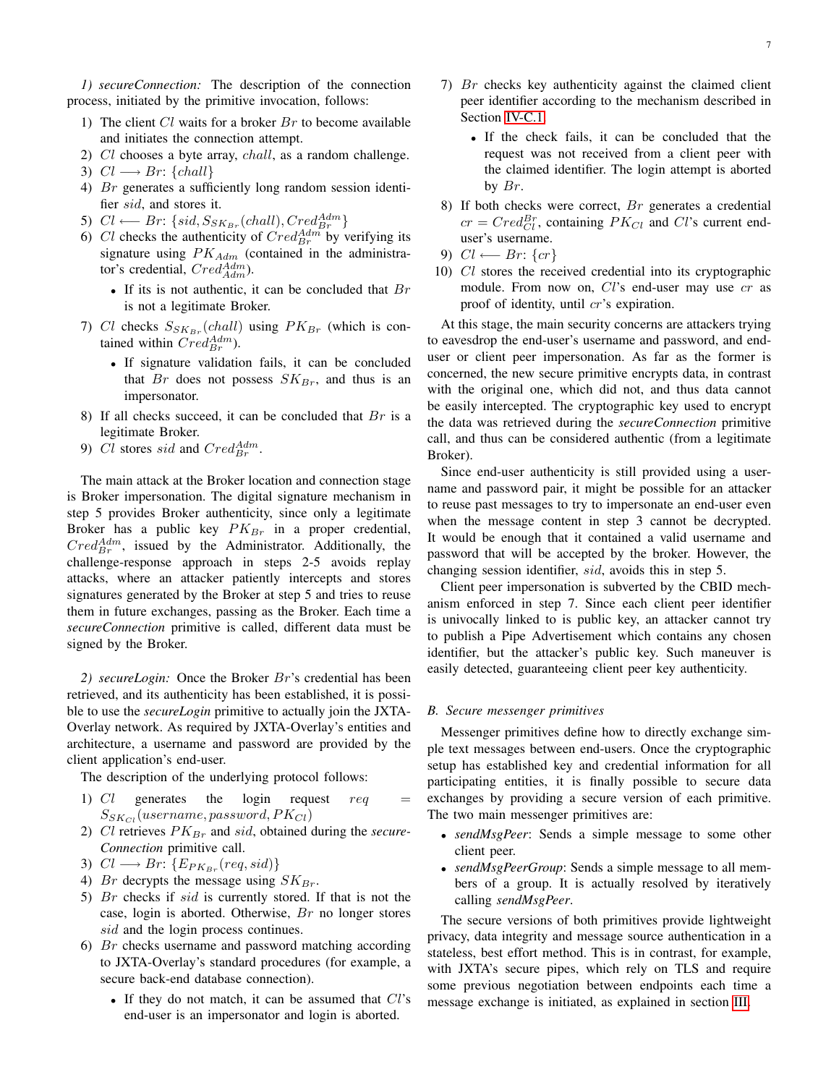<span id="page-6-0"></span>*1) secureConnection:* The description of the connection process, initiated by the primitive invocation, follows:

- 1) The client  $Cl$  waits for a broker  $Br$  to become available and initiates the connection attempt.
- 2) Cl chooses a byte array, *chall*, as a random challenge.
- 3)  $Cl \longrightarrow Br: \{chall\}$
- 4) Br generates a sufficiently long random session identifier sid, and stores it.
- 5)  $Cl \longleftarrow Br: \{sid, S_{SK_{Br}}(chall), Cred_{Br}^{Adm}\}$
- 6) Cl checks the authenticity of  $Cred_{Br}^{Adm}$  by verifying its signature using  $PK_{Adm}$  (contained in the administrator's credential,  $Cred^{Adm}_{Adm}$ ).
	- If its is not authentic, it can be concluded that  $Br$ is not a legitimate Broker.
- 7) Cl checks  $S_{SK_{Br}}(chall)$  using  $PK_{Br}$  (which is contained within  $Cred_{Br}^{Adm}$ ).
	- If signature validation fails, it can be concluded that Br does not possess  $SK_{Br}$ , and thus is an impersonator.
- 8) If all checks succeed, it can be concluded that  $Br$  is a legitimate Broker.
- 9) Cl stores sid and  $Cred_{Br}^{Adm}$ .

The main attack at the Broker location and connection stage is Broker impersonation. The digital signature mechanism in step 5 provides Broker authenticity, since only a legitimate Broker has a public key  $PK_{Br}$  in a proper credential,  $Cred_{Br}^{Adm}$ , issued by the Administrator. Additionally, the challenge-response approach in steps 2-5 avoids replay attacks, where an attacker patiently intercepts and stores signatures generated by the Broker at step 5 and tries to reuse them in future exchanges, passing as the Broker. Each time a *secureConnection* primitive is called, different data must be signed by the Broker.

<span id="page-6-1"></span>*2) secureLogin:* Once the Broker Br's credential has been retrieved, and its authenticity has been established, it is possible to use the *secureLogin* primitive to actually join the JXTA-Overlay network. As required by JXTA-Overlay's entities and architecture, a username and password are provided by the client application's end-user.

The description of the underlying protocol follows:

- 1)  $Cl$  generates the login request  $req$  $S_{SK_{Cl}}(username, password, PK_{Cl})$
- 2) Cl retrieves  $PK_{Br}$  and sid, obtained during the *secure-Connection* primitive call.
- 3)  $Cl \longrightarrow Br: \{E_{PK_{Br}}(req, sid)\}$
- 4) Br decrypts the message using  $SK_{Br}$ .
- 5) Br checks if sid is currently stored. If that is not the case, login is aborted. Otherwise,  $Br$  no longer stores sid and the login process continues.
- 6) Br checks username and password matching according to JXTA-Overlay's standard procedures (for example, a secure back-end database connection).
	- If they do not match, it can be assumed that  $Cl$ 's end-user is an impersonator and login is aborted.
- 7) Br checks key authenticity against the claimed client peer identifier according to the mechanism described in Section [IV-C.1.](#page-4-0)
	- If the check fails, it can be concluded that the request was not received from a client peer with the claimed identifier. The login attempt is aborted by  $Br$ .
- 8) If both checks were correct,  $Br$  generates a credential  $cr = Cred_{Cl}^{Br}$ , containing  $PK_{Cl}$  and  $Cl$ 's current enduser's username.
- 9)  $Cl \longleftarrow Br$ :  $\{cr\}$
- 10) Cl stores the received credential into its cryptographic module. From now on, Cl's end-user may use cr as proof of identity, until cr's expiration.

At this stage, the main security concerns are attackers trying to eavesdrop the end-user's username and password, and enduser or client peer impersonation. As far as the former is concerned, the new secure primitive encrypts data, in contrast with the original one, which did not, and thus data cannot be easily intercepted. The cryptographic key used to encrypt the data was retrieved during the *secureConnection* primitive call, and thus can be considered authentic (from a legitimate Broker).

Since end-user authenticity is still provided using a username and password pair, it might be possible for an attacker to reuse past messages to try to impersonate an end-user even when the message content in step 3 cannot be decrypted. It would be enough that it contained a valid username and password that will be accepted by the broker. However, the changing session identifier, sid, avoids this in step 5.

Client peer impersonation is subverted by the CBID mechanism enforced in step 7. Since each client peer identifier is univocally linked to is public key, an attacker cannot try to publish a Pipe Advertisement which contains any chosen identifier, but the attacker's public key. Such maneuver is easily detected, guaranteeing client peer key authenticity.

## <span id="page-6-2"></span>*B. Secure messenger primitives*

Messenger primitives define how to directly exchange simple text messages between end-users. Once the cryptographic setup has established key and credential information for all participating entities, it is finally possible to secure data exchanges by providing a secure version of each primitive. The two main messenger primitives are:

- *sendMsgPeer*: Sends a simple message to some other client peer.
- *sendMsgPeerGroup*: Sends a simple message to all members of a group. It is actually resolved by iteratively calling *sendMsgPeer*.

The secure versions of both primitives provide lightweight privacy, data integrity and message source authentication in a stateless, best effort method. This is in contrast, for example, with JXTA's secure pipes, which rely on TLS and require some previous negotiation between endpoints each time a message exchange is initiated, as explained in section [III.](#page-2-0)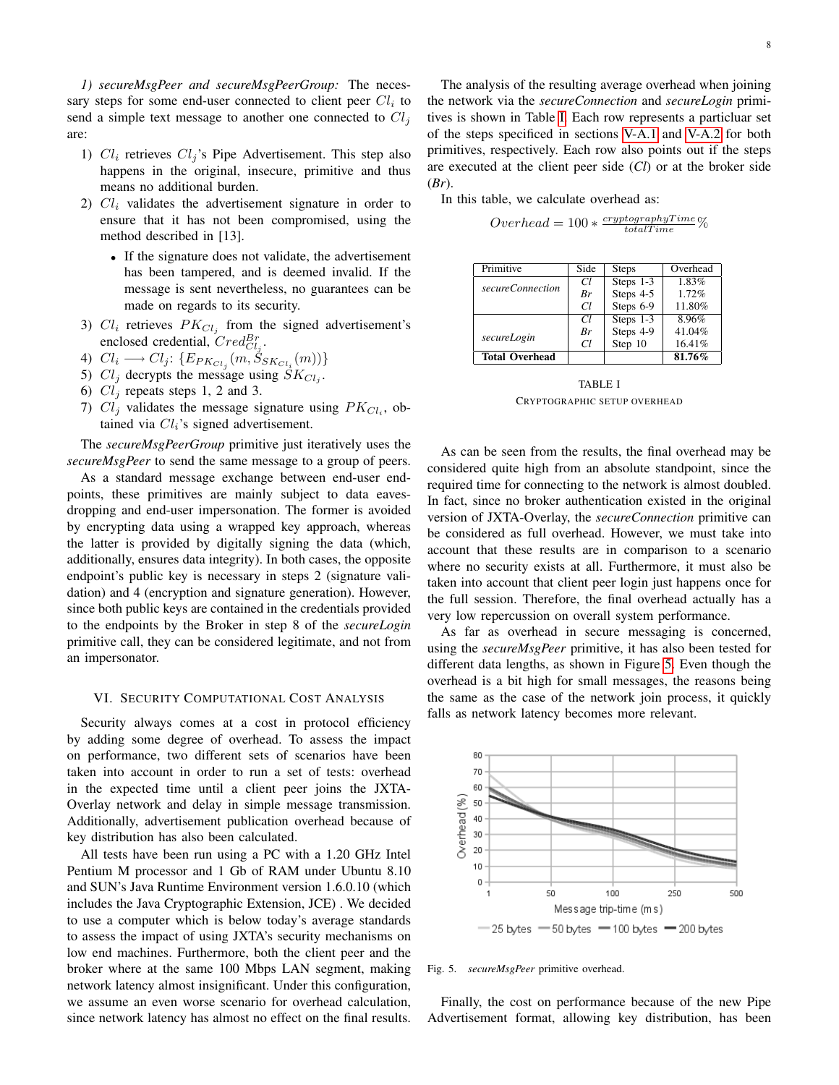*1) secureMsgPeer and secureMsgPeerGroup:* The necessary steps for some end-user connected to client peer  $Cl<sub>i</sub>$  to send a simple text message to another one connected to  $Cl<sub>i</sub>$ are:

- 1)  $Cl_i$  retrieves  $Cl_i$ 's Pipe Advertisement. This step also happens in the original, insecure, primitive and thus means no additional burden.
- 2)  $Cl<sub>i</sub>$  validates the advertisement signature in order to ensure that it has not been compromised, using the method described in [13].
	- If the signature does not validate, the advertisement has been tampered, and is deemed invalid. If the message is sent nevertheless, no guarantees can be made on regards to its security.
- 3)  $Cl_i$  retrieves  $PK_{Cl_i}$  from the signed advertisement's enclosed credential,  $Cred_{Cl_j}^{Br}$ .
- 4)  $Cl_i \longrightarrow Cl_j: \{E_{PK_{Cl_j}}(m, \tilde{S}_{SK_{Cl_i}}(m))\}$
- 5)  $Cl_j$  decrypts the message using  $SK_{Cl_j}$ .
- 6)  $Cl<sub>j</sub>$  repeats steps 1, 2 and 3.
- 7)  $Cl_j$  validates the message signature using  $PK_{Cl_i}$ , obtained via  $Cl<sub>i</sub>$ 's signed advertisement.

The *secureMsgPeerGroup* primitive just iteratively uses the *secureMsgPeer* to send the same message to a group of peers.

As a standard message exchange between end-user endpoints, these primitives are mainly subject to data eavesdropping and end-user impersonation. The former is avoided by encrypting data using a wrapped key approach, whereas the latter is provided by digitally signing the data (which, additionally, ensures data integrity). In both cases, the opposite endpoint's public key is necessary in steps 2 (signature validation) and 4 (encryption and signature generation). However, since both public keys are contained in the credentials provided to the endpoints by the Broker in step 8 of the *secureLogin* primitive call, they can be considered legitimate, and not from an impersonator.

#### <span id="page-7-0"></span>VI. SECURITY COMPUTATIONAL COST ANALYSIS

Security always comes at a cost in protocol efficiency by adding some degree of overhead. To assess the impact on performance, two different sets of scenarios have been taken into account in order to run a set of tests: overhead in the expected time until a client peer joins the JXTA-Overlay network and delay in simple message transmission. Additionally, advertisement publication overhead because of key distribution has also been calculated.

All tests have been run using a PC with a 1.20 GHz Intel Pentium M processor and 1 Gb of RAM under Ubuntu 8.10 and SUN's Java Runtime Environment version 1.6.0.10 (which includes the Java Cryptographic Extension, JCE) . We decided to use a computer which is below today's average standards to assess the impact of using JXTA's security mechanisms on low end machines. Furthermore, both the client peer and the broker where at the same 100 Mbps LAN segment, making network latency almost insignificant. Under this configuration, we assume an even worse scenario for overhead calculation, since network latency has almost no effect on the final results.

The analysis of the resulting average overhead when joining the network via the *secureConnection* and *secureLogin* primitives is shown in Table [I.](#page-7-1) Each row represents a particluar set of the steps specificed in sections [V-A.1](#page-6-0) and [V-A.2](#page-6-1) for both primitives, respectively. Each row also points out if the steps are executed at the client peer side (*Cl*) or at the broker side (*Br*).

In this table, we calculate overhead as:

$$
Overhead = 100 * \frac{cryptographyTime}{totalTime} \%
$$

| Primitive             | Side | <b>Steps</b> | Overhead |
|-----------------------|------|--------------|----------|
| secureConnection      | Cl   | Steps 1-3    | 1.83%    |
|                       | Br   | Steps 4-5    | 1.72%    |
|                       | Cl   | Steps 6-9    | 11.80%   |
|                       | Cl   | Steps 1-3    | 8.96%    |
| secureLogin           | Br   | Steps 4-9    | 41.04%   |
|                       | Cl   | Step 10      | 16.41%   |
| <b>Total Overhead</b> |      |              | 81.76%   |

TABLE I CRYPTOGRAPHIC SETUP OVERHEAD

<span id="page-7-1"></span>As can be seen from the results, the final overhead may be considered quite high from an absolute standpoint, since the required time for connecting to the network is almost doubled. In fact, since no broker authentication existed in the original version of JXTA-Overlay, the *secureConnection* primitive can be considered as full overhead. However, we must take into account that these results are in comparison to a scenario where no security exists at all. Furthermore, it must also be taken into account that client peer login just happens once for the full session. Therefore, the final overhead actually has a very low repercussion on overall system performance.

As far as overhead in secure messaging is concerned, using the *secureMsgPeer* primitive, it has also been tested for different data lengths, as shown in Figure [5.](#page-7-2) Even though the overhead is a bit high for small messages, the reasons being the same as the case of the network join process, it quickly falls as network latency becomes more relevant.



<span id="page-7-2"></span>Fig. 5. *secureMsgPeer* primitive overhead.

Finally, the cost on performance because of the new Pipe Advertisement format, allowing key distribution, has been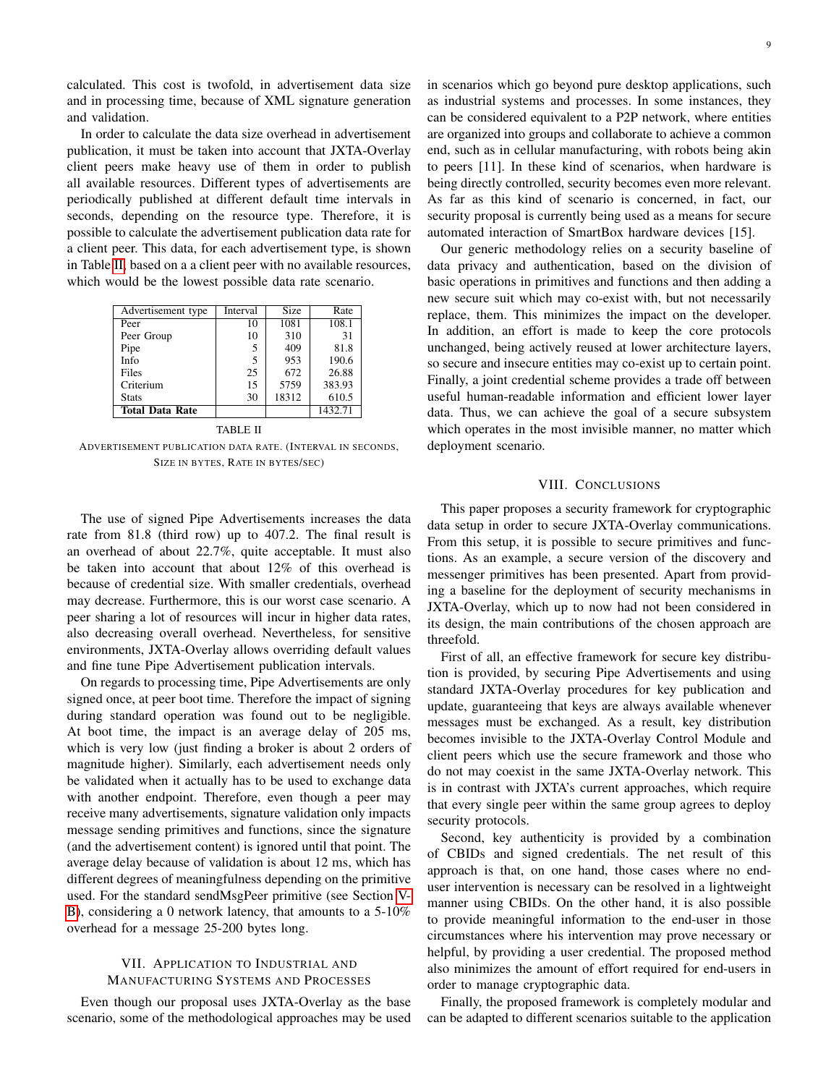calculated. This cost is twofold, in advertisement data size and in processing time, because of XML signature generation and validation.

In order to calculate the data size overhead in advertisement publication, it must be taken into account that JXTA-Overlay client peers make heavy use of them in order to publish all available resources. Different types of advertisements are periodically published at different default time intervals in seconds, depending on the resource type. Therefore, it is possible to calculate the advertisement publication data rate for a client peer. This data, for each advertisement type, is shown in Table [II,](#page-8-2) based on a a client peer with no available resources, which would be the lowest possible data rate scenario.

| Advertisement type     | Interval | Size  | Rate    |
|------------------------|----------|-------|---------|
| Peer                   | 10       | 1081  | 108.1   |
| Peer Group             | 10       | 310   | 31      |
| Pipe                   | 5        | 409   | 81.8    |
| Info                   | 5        | 953   | 190.6   |
| Files                  | 25       | 672   | 26.88   |
| Criterium              | 15       | 5759  | 383.93  |
| <b>Stats</b>           | 30       | 18312 | 610.5   |
| <b>Total Data Rate</b> |          |       | 1432.71 |

TABLE II

<span id="page-8-2"></span>ADVERTISEMENT PUBLICATION DATA RATE. (INTERVAL IN SECONDS, SIZE IN BYTES, RATE IN BYTES/SEC)

The use of signed Pipe Advertisements increases the data rate from 81.8 (third row) up to 407.2. The final result is an overhead of about 22.7%, quite acceptable. It must also be taken into account that about 12% of this overhead is because of credential size. With smaller credentials, overhead may decrease. Furthermore, this is our worst case scenario. A peer sharing a lot of resources will incur in higher data rates, also decreasing overall overhead. Nevertheless, for sensitive environments, JXTA-Overlay allows overriding default values and fine tune Pipe Advertisement publication intervals.

On regards to processing time, Pipe Advertisements are only signed once, at peer boot time. Therefore the impact of signing during standard operation was found out to be negligible. At boot time, the impact is an average delay of 205 ms, which is very low (just finding a broker is about 2 orders of magnitude higher). Similarly, each advertisement needs only be validated when it actually has to be used to exchange data with another endpoint. Therefore, even though a peer may receive many advertisements, signature validation only impacts message sending primitives and functions, since the signature (and the advertisement content) is ignored until that point. The average delay because of validation is about 12 ms, which has different degrees of meaningfulness depending on the primitive used. For the standard sendMsgPeer primitive (see Section [V-](#page-6-2)[B\)](#page-6-2), considering a 0 network latency, that amounts to a 5-10% overhead for a message 25-200 bytes long.

# <span id="page-8-0"></span>VII. APPLICATION TO INDUSTRIAL AND MANUFACTURING SYSTEMS AND PROCESSES

Even though our proposal uses JXTA-Overlay as the base scenario, some of the methodological approaches may be used in scenarios which go beyond pure desktop applications, such as industrial systems and processes. In some instances, they can be considered equivalent to a P2P network, where entities are organized into groups and collaborate to achieve a common end, such as in cellular manufacturing, with robots being akin to peers [11]. In these kind of scenarios, when hardware is being directly controlled, security becomes even more relevant. As far as this kind of scenario is concerned, in fact, our security proposal is currently being used as a means for secure automated interaction of SmartBox hardware devices [15].

Our generic methodology relies on a security baseline of data privacy and authentication, based on the division of basic operations in primitives and functions and then adding a new secure suit which may co-exist with, but not necessarily replace, them. This minimizes the impact on the developer. In addition, an effort is made to keep the core protocols unchanged, being actively reused at lower architecture layers, so secure and insecure entities may co-exist up to certain point. Finally, a joint credential scheme provides a trade off between useful human-readable information and efficient lower layer data. Thus, we can achieve the goal of a secure subsystem which operates in the most invisible manner, no matter which deployment scenario.

## VIII. CONCLUSIONS

<span id="page-8-1"></span>This paper proposes a security framework for cryptographic data setup in order to secure JXTA-Overlay communications. From this setup, it is possible to secure primitives and functions. As an example, a secure version of the discovery and messenger primitives has been presented. Apart from providing a baseline for the deployment of security mechanisms in JXTA-Overlay, which up to now had not been considered in its design, the main contributions of the chosen approach are threefold.

First of all, an effective framework for secure key distribution is provided, by securing Pipe Advertisements and using standard JXTA-Overlay procedures for key publication and update, guaranteeing that keys are always available whenever messages must be exchanged. As a result, key distribution becomes invisible to the JXTA-Overlay Control Module and client peers which use the secure framework and those who do not may coexist in the same JXTA-Overlay network. This is in contrast with JXTA's current approaches, which require that every single peer within the same group agrees to deploy security protocols.

Second, key authenticity is provided by a combination of CBIDs and signed credentials. The net result of this approach is that, on one hand, those cases where no enduser intervention is necessary can be resolved in a lightweight manner using CBIDs. On the other hand, it is also possible to provide meaningful information to the end-user in those circumstances where his intervention may prove necessary or helpful, by providing a user credential. The proposed method also minimizes the amount of effort required for end-users in order to manage cryptographic data.

Finally, the proposed framework is completely modular and can be adapted to different scenarios suitable to the application